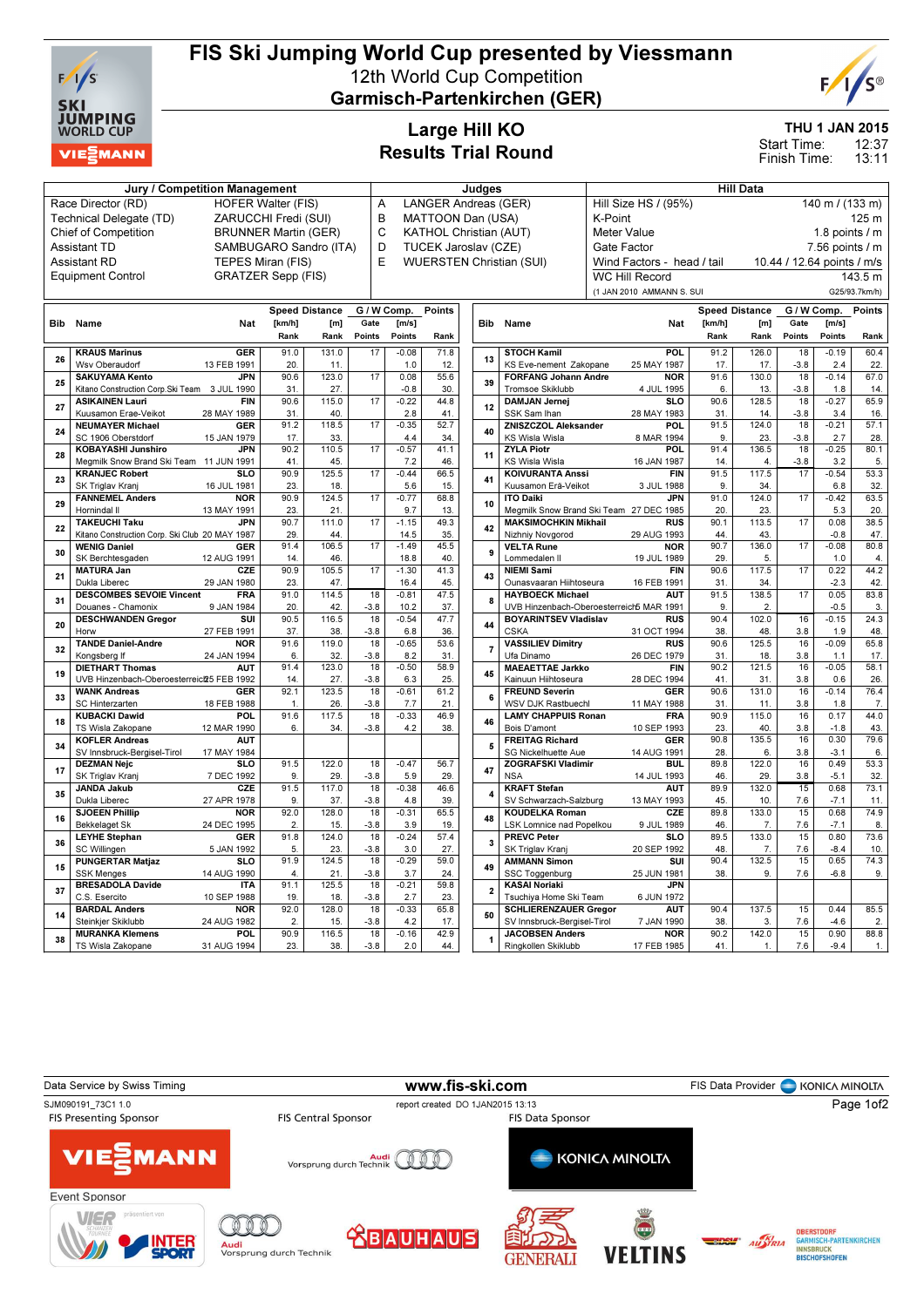

C.S. Esercito

14 BARDAL Anders Steinkjer Skiklubb

38 MURANKA Klemens TS Wisla Zakopane

NOR 24 AUG 1982

**POL** 31 AUG 1994  $\begin{array}{|c|c|c|}\n\hline\n19. & 18. \\
\hline\n92.0 & 128.0 \\
\hline\n\end{array}$ 

90.9 116.5  $23.$  38

92.0 128.0  $2.1$  15.

18 -3.8

18 -3.8

 $-0.33$ 4.2

 $-0.16$ 2.0

23.

1

Tsuchiya Home Ski Team

50 SCHLIERENZAUER Gregor SV Innsbruck-Bergisel-Tirol

JACOBSEN Anders Ringkollen Skiklubb

6 JUN 1972

AUT 7 JAN 1990

**NOR** 17 FEB 1985 90.4 137.5  $38.$   $3$ 

90.2 142.0 41

65.8 17.

42.9 44.

## FIS Ski Jumping World Cup presented by Viessmann 12th World Cup Competition

Garmisch-Partenkirchen (GER)



 0.44 -4.6

 0.90 -9.4

15 7.6

15 7.6

 $60.4$ 22.

 $65.9$ 16.

57.1 28.

 $\frac{20}{80.1}$ 5.

53.3 32.

63.5 20.

38.5 47.

80.8 4.

 $44.2$ 42.

83.8 3.

24.3 48.

65.8 17.

58.1 26.

76.4 7.

44.0 43.

79.6 6.

 $\frac{1}{53.3}$  $rac{32}{32}$ .

73.1 11.

74.3 9.

85.5  $\overline{2}$ 

88.8 1.

THU 1 JAN 2015

12:37 Start Time:

13:11 Finish Time:

## Large Hill KO Results Trial Round

| <b>Jury / Competition Management</b> |                                                 |                             |                          |              |                 |                 |                               | Judges         |                                                         | <b>Hill Data</b>                        |                       |              |                 |                            |                        |
|--------------------------------------|-------------------------------------------------|-----------------------------|--------------------------|--------------|-----------------|-----------------|-------------------------------|----------------|---------------------------------------------------------|-----------------------------------------|-----------------------|--------------|-----------------|----------------------------|------------------------|
|                                      | Race Director (RD)                              | <b>HOFER Walter (FIS)</b>   |                          |              |                 | A               | LANGER Andreas (GER)          |                |                                                         | Hill Size HS / (95%)                    |                       |              |                 | 140 m / (133 m)            |                        |
|                                      | Technical Delegate (TD)                         | ZARUCCHI Fredi (SUI)        |                          |              |                 | B               | MATTOON Dan (USA)             |                |                                                         | K-Point                                 |                       |              |                 |                            | 125 m                  |
|                                      | <b>Chief of Competition</b>                     | <b>BRUNNER Martin (GER)</b> |                          |              |                 | C               | <b>KATHOL Christian (AUT)</b> |                |                                                         | <b>Meter Value</b>                      |                       |              |                 | 1.8 points $/$ m           |                        |
|                                      | <b>Assistant TD</b>                             | SAMBUGARO Sandro (ITA)      |                          |              |                 | D               | TUCEK Jaroslav (CZE)          |                |                                                         | Gate Factor                             |                       |              |                 | 7.56 points / m            |                        |
|                                      | Assistant RD                                    | TEPES Miran (FIS)           |                          |              |                 | E               |                               |                | <b>WUERSTEN Christian (SUI)</b>                         | Wind Factors - head / tail              |                       |              |                 | 10.44 / 12.64 points / m/s |                        |
|                                      | <b>Equipment Control</b>                        | <b>GRATZER Sepp (FIS)</b>   |                          |              |                 |                 |                               |                |                                                         | <b>WC Hill Record</b>                   |                       |              |                 |                            | 143.5 m                |
|                                      |                                                 |                             |                          |              |                 |                 |                               |                |                                                         | (1 JAN 2010 AMMANN S. SUI               |                       |              |                 |                            | G25/93.7km/h)          |
|                                      |                                                 |                             | <b>Speed Distance</b>    |              |                 | G / W Comp.     | Points                        |                |                                                         |                                         | <b>Speed Distance</b> |              | G / W Comp.     |                            | Points                 |
| Bib                                  | Name                                            | <b>Nat</b>                  | [km/h]                   | [m]          | Gate            | [m/s]           |                               |                | Bib Name                                                | <b>Nat</b>                              | [km/h]                | [m]          | Gate<br>[m/s]   |                            |                        |
|                                      |                                                 |                             | Rank                     | Rank         | Points          | Points          | Rank                          |                |                                                         |                                         | Rank                  | Rank         | Points          | Points                     | Rank                   |
| 26                                   | <b>KRAUS Marinus</b>                            | <b>GER</b>                  | 91.0                     | 131.0        | 17              | $-0.08$         | 71.8                          |                | <b>STOCH Kamil</b>                                      | POL                                     | 91.2                  | 126.0        | 18              | $-0.19$                    | 60.4                   |
|                                      | Wsv Oberaudorf                                  | 13 FEB 1991                 | 20.                      | 11.          |                 | 1.0             | 12.                           | 13             | KS Eve-nement Zakopane                                  | 25 MAY 1987                             | 17.                   | 17.          | $-3.8$          | 2.4                        | 22.                    |
| 25                                   | <b>SAKUYAMA Kento</b>                           | <b>JPN</b>                  | 90.6                     | 123.0        | 17              | 0.08            | 55.6                          | 39             | <b>FORFANG Johann Andre</b>                             | <b>NOR</b>                              | 91.6                  | 130.0        | 18              | $-0.14$                    | 67.0                   |
|                                      | Kitano Construction Corp. Ski Team 3 JUL 1990   |                             | 31                       | 27.          |                 | $-0.8$          | 30.                           |                | Tromsoe Skiklubb                                        | 4 JUL 1995                              | 6.                    | 13.          | $-3.8$          | 1.8                        | 14.                    |
| 27                                   | <b>ASIKAINEN Lauri</b>                          | <b>FIN</b>                  | 90.6                     | 115.0        | 17              | $-0.22$         | 44.8                          | 12             | <b>DAMJAN Jernej</b>                                    | SL <sub>O</sub>                         | 90.6                  | 128.5        | 18              | $-0.27$                    | 65.9                   |
|                                      | Kuusamon Erae-Veikot<br><b>NEUMAYER Michael</b> | 28 MAY 1989<br><b>GER</b>   | 31.<br>91.2              | 40.<br>118.5 | 17              | 2.8<br>$-0.35$  | 41.<br>52.7                   |                | SSK Sam Ihan<br><b>ZNISZCZOL Aleksander</b>             | 28 MAY 1983<br>POL.                     | 31.<br>91.5           | 14.<br>124.0 | $-3.8$<br>18    | 3.4<br>$-0.21$             | 16.<br>57.1            |
| 24                                   | SC 1906 Oberstdorf                              | 15 JAN 1979                 | 17.                      | 33.          |                 | 4.4             | 34.                           | 40             | KS Wisla Wisla                                          | 8 MAR 1994                              | 9.                    | 23.          | $-3.8$          | 2.7                        | 28.                    |
|                                      | <b>KOBAYASHI Junshiro</b>                       | <b>JPN</b>                  | 90.2                     | 110.5        | 17              | $-0.57$         | 41.1                          |                | <b>ZYLA Piotr</b>                                       | <b>POL</b>                              | 91.4                  | 136.5        | 18              | $-0.25$                    | 80.1                   |
| 28                                   | Megmilk Snow Brand Ski Team 11 JUN 1991         |                             | 41.                      | 45.          |                 | 7.2             | 46.                           | 11             | KS Wisla Wisla                                          | 16 JAN 1987                             | 14.                   | 4.           | $-3.8$          | 3.2                        | 5.                     |
|                                      | <b>KRANJEC Robert</b>                           | <b>SLO</b>                  | 90.9                     | 125.5        | 17              | $-0.44$         | 66.5                          |                | <b>KOIVURANTA Anssi</b>                                 | <b>FIN</b>                              | 91.5                  | 117.5        | 17              | $-0.54$                    | 53.3                   |
| 23                                   | SK Triglav Kranj                                | 16 JUL 1981                 | 23.                      | 18.          |                 | 5.6             | 15.                           | 41             | Kuusamon Erä-Veikot                                     | 3 JUL 1988                              | 9.                    | 34.          |                 | 6.8                        | 32.                    |
| 29                                   | <b>FANNEMEL Anders</b>                          | <b>NOR</b>                  | 90.9                     | 124.5        | $\overline{17}$ | $-0.77$         | 68.8                          | 10             | <b>ITO Daiki</b>                                        | <b>JPN</b>                              | 91.0                  | 124.0        | 17              | $-0.42$                    | 63.5                   |
| 22                                   | Hornindal II                                    | 13 MAY 1991                 | 23.                      | 21.          |                 | 9.7             | 13.                           |                |                                                         | Megmilk Snow Brand Ski Team 27 DEC 1985 | 20.                   | 23.          |                 | 5.3                        | 20.                    |
|                                      | <b>TAKEUCHI Taku</b>                            | <b>JPN</b>                  | 90.7                     | 111.0        | 17              | $-1.15$         | 49.3                          | 42             | <b>MAKSIMOCHKIN Mikhail</b>                             | <b>RUS</b>                              | 90.1                  | 113.5        | 17              | 0.08                       | 38.5                   |
|                                      | Kitano Construction Corp. Ski Club 20 MAY 1987  |                             | 29.                      | 44           |                 | 14.5            | 35.                           |                | Nizhniy Novgorod                                        | 29 AUG 1993                             | 44                    | 43.          |                 | $-0.8$                     | 47.                    |
| 30                                   | <b>WENIG Daniel</b>                             | GER                         | 91.4                     | 106.5        | 17              | $-1.49$         | 45.5                          | 9              | <b>VELTA Rune</b>                                       | <b>NOR</b>                              | 90.7                  | 136.0        | 17              | $-0.08$                    | 80.8                   |
|                                      | SK Berchtesgaden<br><b>MATURA Jan</b>           | 12 AUG 1991<br>CZE          | 14.<br>90.9              | 46.<br>105.5 | 17              | 18.8<br>$-1.30$ | 40.<br>41.3                   |                | Lommedalen II<br><b>NIEMI Sami</b>                      | 19 JUL 1989<br><b>FIN</b>               | 29<br>90.6            | 5.<br>117.5  | $\overline{17}$ | 1.0<br>0.22                | $\overline{4}$<br>44.2 |
| 21                                   | Dukla Liberec                                   | 29 JAN 1980                 | 23.                      | 47           |                 | 16.4            | 45.                           | 43             | Ounasvaaran Hiihtoseura                                 | 16 FEB 1991                             | 31.                   | 34.          |                 | $-2.3$                     | 42.                    |
|                                      | <b>DESCOMBES SEVOIE Vincent</b>                 | <b>FRA</b>                  | 91.0                     | 114.5        | 18              | $-0.81$         | 47.5                          |                | <b>HAYBOECK Michael</b>                                 | <b>AUT</b>                              | 91.5                  | 138.5        | 17              | 0.05                       | 83.8                   |
| 31                                   | Douanes - Chamonix                              | 9 JAN 1984                  | 20.                      | 42.          | $-3.8$          | 10.2            | 37.                           | 8              |                                                         | UVB Hinzenbach-Oberoesterreich MAR 1991 | 9.                    | 2.           |                 | $-0.5$                     | 3.                     |
|                                      | <b>DESCHWANDEN Gregor</b>                       | SUI                         | 90.5                     | 116.5        | 18              | $-0.54$         | 47.7                          |                | <b>BOYARINTSEV Vladislav</b>                            | <b>RUS</b>                              | 90.4                  | 102.0        | 16              | $-0.15$                    | 24.3                   |
| 20                                   | Horw                                            | 27 FEB 1991                 | 37                       | 38.          | $-3.8$          | 6.8             | 36.                           | 44             | <b>CSKA</b>                                             | 31 OCT 1994                             | 38.                   | 48.          | 3.8             | 1.9                        | 48.                    |
| 32                                   | <b>TANDE Daniel-Andre</b>                       | <b>NOR</b>                  | 91.6                     | 119.0        | 18              | $-0.65$         | 53.6                          | 7              | <b>VASSILIEV Dimitry</b>                                | <b>RUS</b>                              | 90.6                  | 125.5        | 16              | $-0.09$                    | 65.8                   |
|                                      | Kongsberg If                                    | 24 JAN 1994                 | 6.                       | 32.          | $-3.8$          | 8.2             | 31.                           |                | Ufa Dinamo                                              | 26 DEC 1979                             | 31.                   | 18.          | 3.8             | 1.1                        | 17.                    |
| 19                                   | <b>DIETHART Thomas</b>                          | <b>AUT</b>                  | 91.4                     | 123.0        | 18              | $-0.50$         | 58.9                          | 45             | <b>MAEAETTAE Jarkko</b>                                 | <b>FIN</b>                              | 90.2                  | 121.5        | 16              | $-0.05$                    | 58.1                   |
|                                      | UVB Hinzenbach-Oberoesterreict25 FEB 1992       |                             | 14.                      | 27.          | $-3.8$          | 6.3             | 25.                           |                | Kainuun Hiihtoseura                                     | 28 DEC 1994                             | 41.                   | 31.          | 3.8             | 0.6                        | 26.                    |
| 33                                   | <b>WANK Andreas</b>                             | <b>GER</b>                  | 92.1                     | 123.5        | 18              | $-0.61$         | 61.2                          | 6              | <b>FREUND Severin</b>                                   | <b>GER</b>                              | 90.6                  | 131.0        | 16              | $-0.14$                    | 76.4                   |
|                                      | SC Hinterzarten<br><b>KUBACKI Dawid</b>         | 18 FEB 1988<br>POL          | $\overline{1}$ .<br>91.6 | 26.<br>117.5 | $-3.8$<br>18    | 7.7<br>$-0.33$  | 21.<br>46.9                   |                | <b>WSV DJK Rastbuechl</b><br><b>LAMY CHAPPUIS Ronan</b> | 11 MAY 1988<br><b>FRA</b>               | 31.<br>90.9           | 11.<br>115.0 | 3.8<br>16       | 1.8<br>0.17                | $\overline{7}$<br>44.0 |
| 18                                   | TS Wisla Zakopane                               | 12 MAR 1990                 | 6.                       | 34.          | $-3.8$          | 4.2             | 38.                           | 46             | Bois D'amont                                            | 10 SEP 1993                             | 23.                   | 40.          | 3.8             | $-1.8$                     | 43.                    |
|                                      | <b>KOFLER Andreas</b>                           | <b>AUT</b>                  |                          |              |                 |                 |                               |                | <b>FREITAG Richard</b>                                  | <b>GER</b>                              | 90.8                  | 135.5        | 16              | 0.30                       | 79.6                   |
| 34                                   | SV Innsbruck-Bergisel-Tirol                     | 17 MAY 1984                 |                          |              |                 |                 |                               | 5              | SG Nickelhuette Aue                                     | 14 AUG 1991                             | 28.                   | 6.           | 3.8             | $-3.1$                     | 6.                     |
| 17                                   | <b>DEZMAN Nejc</b>                              | <b>SLO</b>                  | 91.5                     | 122.0        | 18              | $-0.47$         | 56.7                          |                | <b>ZOGRAFSKI Vladimir</b>                               | BUL.                                    | 89.8                  | 122.0        | 16              | 0.49                       | 53.3                   |
|                                      | SK Triglav Kranj                                | 7 DEC 1992                  | 9.                       | 29.          | $-3.8$          | 5.9             | 29.                           | 47             | <b>NSA</b>                                              | 14 JUL 1993                             | 46.                   | 29.          | 3.8             | $-5.1$                     | 32.                    |
|                                      | <b>JANDA Jakub</b>                              | CZE                         | 91.5                     | 117.0        | 18              | $-0.38$         | 46.6                          | 4              | <b>KRAFT Stefan</b>                                     | <b>AUT</b>                              | 89.9                  | 132.0        | 15              | 0.68                       | 73.1                   |
| 35                                   | Dukla Liberec                                   | 27 APR 1978                 | 9.                       | 37.          | $-3.8$          | 4.8             | 39.                           |                | SV Schwarzach-Salzburg                                  | 13 MAY 1993                             | 45.                   | 10.          | 7.6             | $-7.1$                     | 11.                    |
| 16                                   | <b>SJOEEN Phillip</b>                           | <b>NOR</b>                  | 92.0                     | 128.0        | 18              | $-0.31$         | 65.5                          | 48             | <b>KOUDELKA Roman</b>                                   | CZE                                     | 89.8                  | 133.0        | 15              | 0.68                       | 74.9                   |
|                                      | <b>Bekkelaget Sk</b>                            | 24 DEC 1995                 | 2.                       | 15.          | $-3.8$          | 3.9             | 19.                           |                | LSK Lomnice nad Popelkou                                | 9 JUL 1989                              | 46.                   | 7.           | 7.6             | $-7.1$                     | 8                      |
| 36                                   | <b>LEYHE Stephan</b>                            | <b>GER</b>                  | 91.8                     | 124.0        | 18              | $-0.24$         | 57.4                          | 3              | <b>PREVC Peter</b>                                      | SL <sub>O</sub>                         | 89.5                  | 133.0        | 15              | 0.80                       | 73.6                   |
|                                      | SC Willingen                                    | 5 JAN 1992                  | 5.                       | 23.          | $-3.8$          | 3.0             | 27.                           |                | SK Triglav Kranj                                        | 20 SEP 1992                             | 48.                   | 7.           | 7.6             | $-8.4$                     | 10.                    |
| 15                                   | <b>PUNGERTAR Matjaz</b>                         | <b>SLO</b>                  | 91.9                     | 124.5        | 18<br>$-3.8$    | $-0.29$         | 59.0                          | 49             | <b>AMMANN Simon</b>                                     | SUI                                     | 90.4                  | 132.5        | 15              | 0.65                       | 74.3                   |
|                                      | <b>SSK Menges</b><br><b>BRESADOLA Davide</b>    | 14 AUG 1990<br><b>ITA</b>   | 4.<br>91.1               | 21.<br>125.5 | 18              | 3.7<br>$-0.21$  | 24.<br>59.8                   |                | SSC Toggenburg<br><b>KASAI Noriaki</b>                  | 25 JUN 1981<br><b>JPN</b>               | 38.                   | 9.           | 7.6             | $-6.8$                     | 9.                     |
| 37                                   | C.S. Esercito                                   | 10 SEP 1988                 | 19.                      | 18.          | $-3.8$          | 2.7             | 23.                           | $\overline{2}$ | Tsuchiva Home Ski Team                                  | 6 JUN 1972                              |                       |              |                 |                            |                        |
|                                      |                                                 |                             |                          |              |                 |                 |                               |                |                                                         |                                         |                       |              |                 |                            |                        |

Data Service by Swiss Timing **Example 20 and Service Constructs Constructs** FIS Data Provider **C** KONICA MINOLTA SJM090191\_73C1 1.0<br>
FIS Central Sponsor<br>
FIS Central Sponsor<br>
FIS Passenting Sponsor<br>
FIS Da Page 1of2**FIS Data Sponsor MANN VIE:** Audi<br>Vorsprung durch Technik **KONICA MINOLTA** Ø Event Sponsor VER Ó  $\mathbb{Q}$ O OBERSTDORF<br>Garmisch-Partenkirchen<br>Innsbruck **<u> XBAUHAUS</u>** AUSTRIA <mark>Audi</mark><br>Vorsprung durch Technik **VELTINS RISCHOESHOFFN GENERALI**